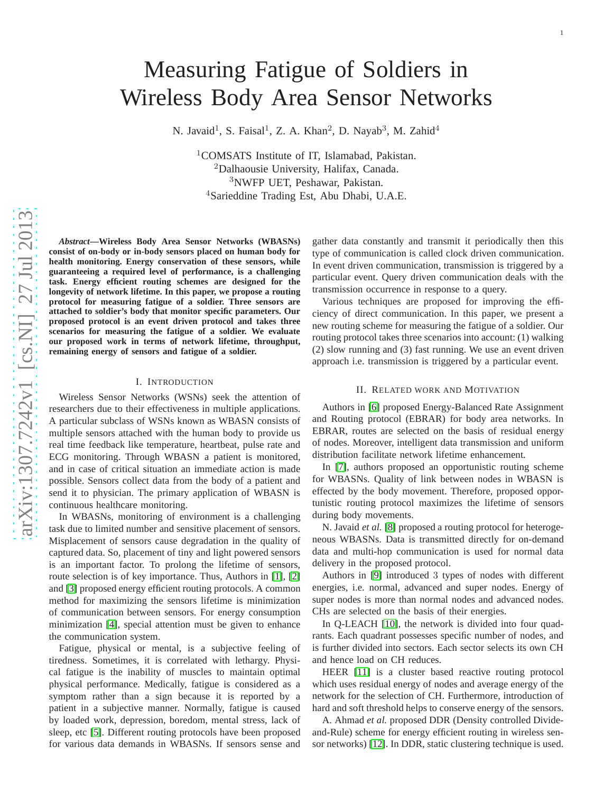# Measuring Fatigue of Soldiers in Wireless Body Area Sensor Networks

N. Javaid<sup>1</sup>, S. Faisal<sup>1</sup>, Z. A. Khan<sup>2</sup>, D. Nayab<sup>3</sup>, M. Zahid<sup>4</sup>

<sup>1</sup>COMSATS Institute of IT, Islamabad, Pakistan.<br><sup>2</sup>Dalhaousie University, Halifax, Canada.<br><sup>3</sup>NWFP UET, Peshawar, Pakistan.<br><sup>4</sup>Sarieddine Trading Est, Abu Dhabi, U.A.E.

*Abstract***—Wireless Body Area Sensor Networks (WBASNs) consist of on-body or in-body sensors placed on human body fo r health monitoring. Energy conservation of these sensors, while guaranteeing a required level of performance, is a challenging task. Energy efficient routing schemes are designed for the longevity of network lifetime. In this paper, we propose a routing protocol for measuring fatigue of a soldier. Three sensors are attached to soldier's body that monitor specific parameters. Our proposed protocol is an event driven protocol and takes thre e scenarios for measuring the fatigue of a soldier. We evaluat e our proposed work in terms of network lifetime, throughput, remaining energy of sensors and fatigue of a soldier.**

#### I. INTRODUCTION

Wireless Sensor Networks (WSNs) seek the attention of researchers due to their effectiveness in multiple applications. A particular subclass of WSNs known as WBASN consists of multiple sensors attached with the human body to provide us real time feedback like temperature, heartbeat, pulse rate and ECG monitoring. Through WBASN a patient is monitored, and in case of critical situation an immediate action is made possible. Sensors collect data from the body of a patient and send it to physician. The primary application of WBASN is continuous healthcare monitoring.

In WBASNs, monitoring of environment is a challenging task due to limited number and sensitive placement of sensors. Misplacement of sensors cause degradation in the quality of captured data. So, placement of tiny and light powered sensors is an important factor. To prolong the lifetime of sensors, route selection is of key importance. Thus, Authors in [\[1\]](#page-4-0), [\[2\]](#page-4-1) and [\[3\]](#page-4-2) proposed energy efficient routing protocols. A commo n method for maximizing the sensors lifetime is minimization of communication between sensors. For energy consumption minimization [\[4\]](#page-4-3), special attention must be given to enhanc e the communication system.

Fatigue, physical or mental, is a subjective feeling of tiredness. Sometimes, it is correlated with lethargy. Physical fatigue is the inability of muscles to maintain optimal physical performance. Medically, fatigue is considered as a symptom rather than a sign because it is reported by a patient in a subjective manner. Normally, fatigue is caused by loaded work, depression, boredom, mental stress, lack of sleep, etc [\[5\]](#page-4-4). Different routing protocols have been proposed for various data demands in WBASNs. If sensors sense and

gather data constantly and transmit it periodically then this type of communication is called clock driven communication . In event driven communication, transmission is triggered by a particular event. Query driven communication deals with th e transmission occurrence in response to a query.

Various techniques are proposed for improving the efficiency of direct communication. In this paper, we present a new routing scheme for measuring the fatigue of a soldier. Ou r routing protocol takes three scenarios into account: (1) walking (2) slow running and (3) fast running. We use an event driven approach i.e. transmission is triggered by a particular event.

## II. RELATED WORK AND MOTIVATION

Authors in [\[6\]](#page-4-5) proposed Energy-Balanced Rate Assignment and Routing protocol (EBRAR) for body area networks. In EBRAR, routes are selected on the basis of residual energy of nodes. Moreover, intelligent data transmission and uniform distribution facilitate network lifetime enhancement.

In [\[7\]](#page-4-6), authors proposed an opportunistic routing scheme for WBASNs. Quality of link between nodes in WBASN is effected by the body movement. Therefore, proposed opportunistic routing protocol maximizes the lifetime of sensors during body movements.

N. Javaid *et al.* [\[8\]](#page-4-7) proposed a routing protocol for heterogeneous WBASNs. Data is transmitted directly for on-demand data and multi-hop communication is used for normal data delivery in the proposed protocol.

Authors in [\[9\]](#page-4-8) introduced 3 types of nodes with different energies, i.e. normal, advanced and super nodes. Energy of super nodes is more than normal nodes and advanced nodes. CHs are selected on the basis of their energies.

In Q-LEACH [\[10\]](#page-4-9), the network is divided into four quadrants. Each quadrant possesses specific number of nodes, and is further divided into sectors. Each sector selects its own CH and hence load on CH reduces.

HEER [\[11\]](#page-4-10) is a cluster based reactive routing protocol which uses residual energy of nodes and average energy of the network for the selection of CH. Furthermore, introduction of hard and soft threshold helps to conserve energy of the sensors.

A. Ahmad *et al.* proposed DDR (Density controlled Divideand-Rule) scheme for energy efficient routing in wireless sensor networks) [\[12\]](#page-4-11). In DDR, static clustering technique is used.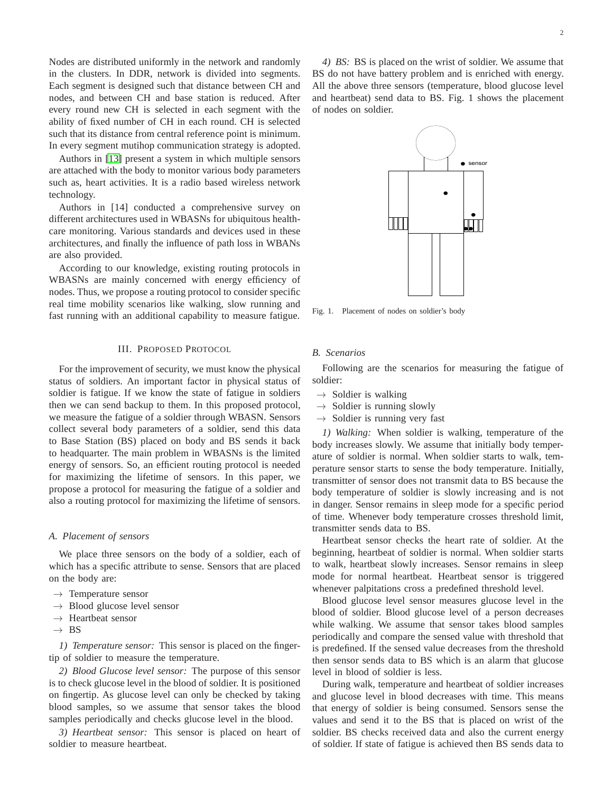Nodes are distributed uniformly in the network and randomly in the clusters. In DDR, network is divided into segments. Each segment is designed such that distance between CH and nodes, and between CH and base station is reduced. After every round new CH is selected in each segment with the ability of fixed number of CH in each round. CH is selected such that its distance from central reference point is minimum. In every segment mutihop communication strategy is adopted.

Authors in [\[13\]](#page-4-12) present a system in which multiple sensors are attached with the body to monitor various body parameters such as, heart activities. It is a radio based wireless network technology.

Authors in [14] conducted a comprehensive survey on different architectures used in WBASNs for ubiquitous healthcare monitoring. Various standards and devices used in these architectures, and finally the influence of path loss in WBANs are also provided.

According to our knowledge, existing routing protocols in WBASNs are mainly concerned with energy efficiency of nodes. Thus, we propose a routing protocol to consider specific real time mobility scenarios like walking, slow running and fast running with an additional capability to measure fatigue.

### III. PROPOSED PROTOCOL

For the improvement of security, we must know the physical status of soldiers. An important factor in physical status of soldier is fatigue. If we know the state of fatigue in soldiers then we can send backup to them. In this proposed protocol, we measure the fatigue of a soldier through WBASN. Sensors collect several body parameters of a soldier, send this data to Base Station (BS) placed on body and BS sends it back to headquarter. The main problem in WBASNs is the limited energy of sensors. So, an efficient routing protocol is needed for maximizing the lifetime of sensors. In this paper, we propose a protocol for measuring the fatigue of a soldier and also a routing protocol for maximizing the lifetime of sensors.

#### *A. Placement of sensors*

We place three sensors on the body of a soldier, each of which has a specific attribute to sense. Sensors that are placed on the body are:

- $\rightarrow$  Temperature sensor
- $\rightarrow$  Blood glucose level sensor
- $\rightarrow$  Heartbeat sensor
- $\rightarrow$  BS

*1) Temperature sensor:* This sensor is placed on the fingertip of soldier to measure the temperature.

*2) Blood Glucose level sensor:* The purpose of this sensor is to check glucose level in the blood of soldier. It is positioned on fingertip. As glucose level can only be checked by taking blood samples, so we assume that sensor takes the blood samples periodically and checks glucose level in the blood.

*3) Heartbeat sensor:* This sensor is placed on heart of soldier to measure heartbeat.

*4) BS:* BS is placed on the wrist of soldier. We assume that BS do not have battery problem and is enriched with energy. All the above three sensors (temperature, blood glucose level and heartbeat) send data to BS. Fig. 1 shows the placement of nodes on soldier.



Fig. 1. Placement of nodes on soldier's body

## *B. Scenarios*

Following are the scenarios for measuring the fatigue of soldier:

- $\rightarrow$  Soldier is walking
- $\rightarrow$  Soldier is running slowly
- $\rightarrow$  Soldier is running very fast

*1) Walking:* When soldier is walking, temperature of the body increases slowly. We assume that initially body temperature of soldier is normal. When soldier starts to walk, temperature sensor starts to sense the body temperature. Initially, transmitter of sensor does not transmit data to BS because the body temperature of soldier is slowly increasing and is not in danger. Sensor remains in sleep mode for a specific period of time. Whenever body temperature crosses threshold limit, transmitter sends data to BS.

Heartbeat sensor checks the heart rate of soldier. At the beginning, heartbeat of soldier is normal. When soldier starts to walk, heartbeat slowly increases. Sensor remains in sleep mode for normal heartbeat. Heartbeat sensor is triggered whenever palpitations cross a predefined threshold level.

Blood glucose level sensor measures glucose level in the blood of soldier. Blood glucose level of a person decreases while walking. We assume that sensor takes blood samples periodically and compare the sensed value with threshold that is predefined. If the sensed value decreases from the threshold then sensor sends data to BS which is an alarm that glucose level in blood of soldier is less.

During walk, temperature and heartbeat of soldier increases and glucose level in blood decreases with time. This means that energy of soldier is being consumed. Sensors sense the values and send it to the BS that is placed on wrist of the soldier. BS checks received data and also the current energy of soldier. If state of fatigue is achieved then BS sends data to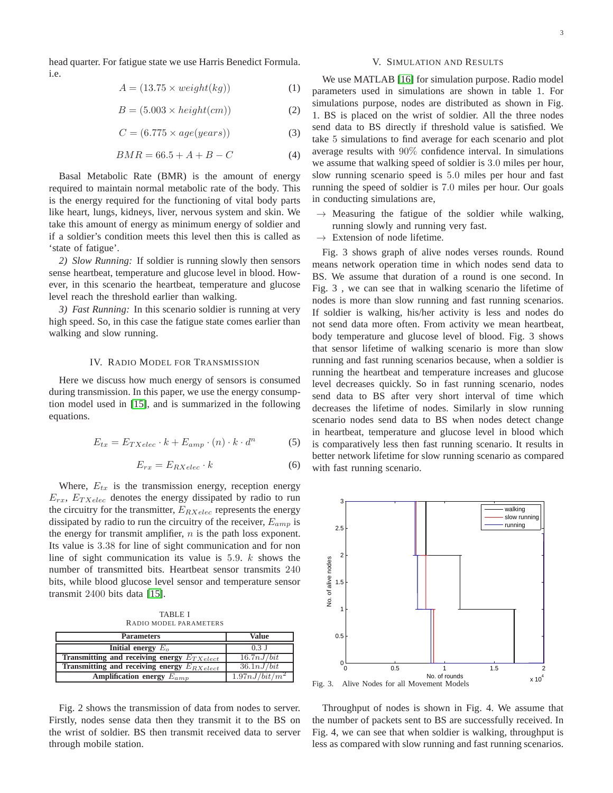head quarter. For fatigue state we use Harris Benedict Formula. i.e.

$$
A = (13.75 \times weight(kg))
$$
 (1)

$$
B = (5.003 \times height(cm))
$$
 (2)

$$
C = (6.775 \times age(years))
$$
 (3)

$$
BMR = 66.5 + A + B - C \tag{4}
$$

Basal Metabolic Rate (BMR) is the amount of energy required to maintain normal metabolic rate of the body. This is the energy required for the functioning of vital body parts like heart, lungs, kidneys, liver, nervous system and skin. We take this amount of energy as minimum energy of soldier and if a soldier's condition meets this level then this is called as 'state of fatigue'.

*2) Slow Running:* If soldier is running slowly then sensors sense heartbeat, temperature and glucose level in blood. However, in this scenario the heartbeat, temperature and glucose level reach the threshold earlier than walking.

*3) Fast Running:* In this scenario soldier is running at very high speed. So, in this case the fatigue state comes earlier than walking and slow running.

## IV. RADIO MODEL FOR TRANSMISSION

Here we discuss how much energy of sensors is consumed during transmission. In this paper, we use the energy consumption model used in [\[15\]](#page-4-13), and is summarized in the following equations.

$$
E_{tx} = E_{TXelec} \cdot k + E_{amp} \cdot (n) \cdot k \cdot d^n \tag{5}
$$

$$
E_{rx} = E_{RXelec} \cdot k \tag{6}
$$

Where,  $E_{tx}$  is the transmission energy, reception energy  $E_{rx}$ ,  $E_{TXelec}$  denotes the energy dissipated by radio to run the circuitry for the transmitter,  $E_{RXelec}$  represents the energy dissipated by radio to run the circuitry of the receiver,  $E_{amp}$  is the energy for transmit amplifier,  $n$  is the path loss exponent. Its value is 3.38 for line of sight communication and for non line of sight communication its value is  $5.9. k$  shows the number of transmitted bits. Heartbeat sensor transmits 240 bits, while blood glucose level sensor and temperature sensor transmit 2400 bits data [\[15\]](#page-4-13).

TABLE I RADIO MODEL PARAMETERS

| <b>Parameters</b>                                 | Value                      |
|---------------------------------------------------|----------------------------|
| Initial energy $E_0$                              | $0.3$ J                    |
| Transmitting and receiving energy $E_{TXelect}$   | 16.7nJ/bit                 |
| Transmitting and receiving energy $E_{RX\,elect}$ | 36.1 nJ/bit                |
| Amplification energy $E_{amp}$                    | 1.97 nJ/bit/m <sup>2</sup> |

Fig. 2 shows the transmission of data from nodes to server. Firstly, nodes sense data then they transmit it to the BS on the wrist of soldier. BS then transmit received data to server through mobile station.

### V. SIMULATION AND RESULTS

We use MATLAB [\[16\]](#page-4-14) for simulation purpose. Radio model parameters used in simulations are shown in table 1. For simulations purpose, nodes are distributed as shown in Fig. 1. BS is placed on the wrist of soldier. All the three nodes send data to BS directly if threshold value is satisfied. We take 5 simulations to find average for each scenario and plot average results with 90% confidence interval. In simulations we assume that walking speed of soldier is 3.0 miles per hour, slow running scenario speed is 5.0 miles per hour and fast running the speed of soldier is 7.0 miles per hour. Our goals in conducting simulations are,

- $\rightarrow$  Measuring the fatigue of the soldier while walking, running slowly and running very fast.
- $\rightarrow$  Extension of node lifetime.

Fig. 3 shows graph of alive nodes verses rounds. Round means network operation time in which nodes send data to BS. We assume that duration of a round is one second. In Fig. 3 , we can see that in walking scenario the lifetime of nodes is more than slow running and fast running scenarios. If soldier is walking, his/her activity is less and nodes do not send data more often. From activity we mean heartbeat, body temperature and glucose level of blood. Fig. 3 shows that sensor lifetime of walking scenario is more than slow running and fast running scenarios because, when a soldier is running the heartbeat and temperature increases and glucose level decreases quickly. So in fast running scenario, nodes send data to BS after very short interval of time which decreases the lifetime of nodes. Similarly in slow running scenario nodes send data to BS when nodes detect change in heartbeat, temperature and glucose level in blood which is comparatively less then fast running scenario. It results in better network lifetime for slow running scenario as compared with fast running scenario.



Throughput of nodes is shown in Fig. 4. We assume that the number of packets sent to BS are successfully received. In Fig. 4, we can see that when soldier is walking, throughput is less as compared with slow running and fast running scenarios.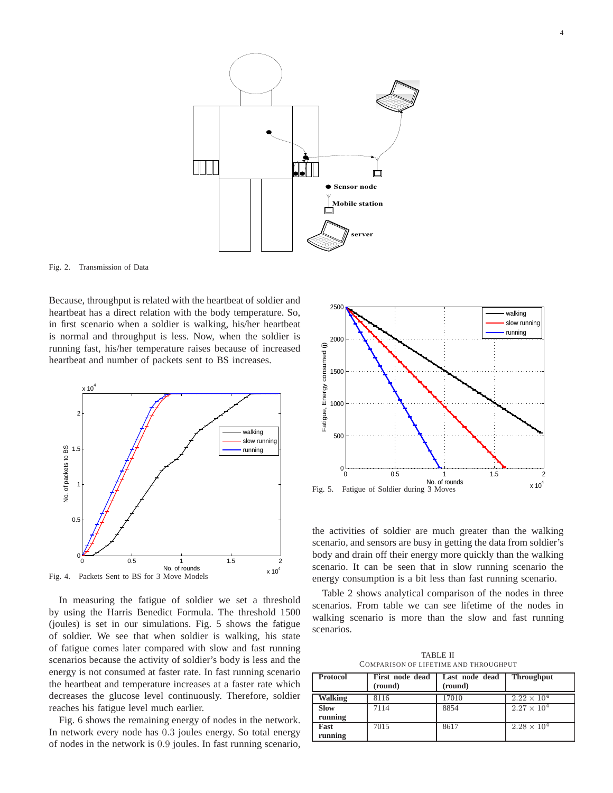



Fig. 2. Transmission of Data

Because, throughput is related with the heartbeat of soldier and heartbeat has a direct relation with the body temperature. So, in first scenario when a soldier is walking, his/her heartbeat is normal and throughput is less. Now, when the soldier is running fast, his/her temperature raises because of increased heartbeat and number of packets sent to BS increases.



In measuring the fatigue of soldier we set a threshold by using the Harris Benedict Formula. The threshold 1500 (joules) is set in our simulations. Fig. 5 shows the fatigue of soldier. We see that when soldier is walking, his state of fatigue comes later compared with slow and fast running scenarios because the activity of soldier's body is less and the energy is not consumed at faster rate. In fast running scenario the heartbeat and temperature increases at a faster rate which decreases the glucose level continuously. Therefore, soldier reaches his fatigue level much earlier.

Fig. 6 shows the remaining energy of nodes in the network. In network every node has 0.3 joules energy. So total energy of nodes in the network is 0.9 joules. In fast running scenario,



the activities of soldier are much greater than the walking scenario, and sensors are busy in getting the data from soldier's body and drain off their energy more quickly than the walking scenario. It can be seen that in slow running scenario the energy consumption is a bit less than fast running scenario.

Table 2 shows analytical comparison of the nodes in three scenarios. From table we can see lifetime of the nodes in walking scenario is more than the slow and fast running scenarios.

TABLE II COMPARISON OF LIFETIME AND THROUGHPUT

| <b>Protocol</b> | First node dead<br>(round) | Last node dead<br>(round) | <b>Throughput</b>    |
|-----------------|----------------------------|---------------------------|----------------------|
| <b>Walking</b>  | 8116                       | 17010                     | $2.22 \times 10^{4}$ |
| <b>Slow</b>     | 7114                       | 8854                      | $2.27 \times 10^{4}$ |
| running         |                            |                           |                      |
| Fast            | 7015                       | 8617                      | $2.28 \times 10^{4}$ |
| running         |                            |                           |                      |